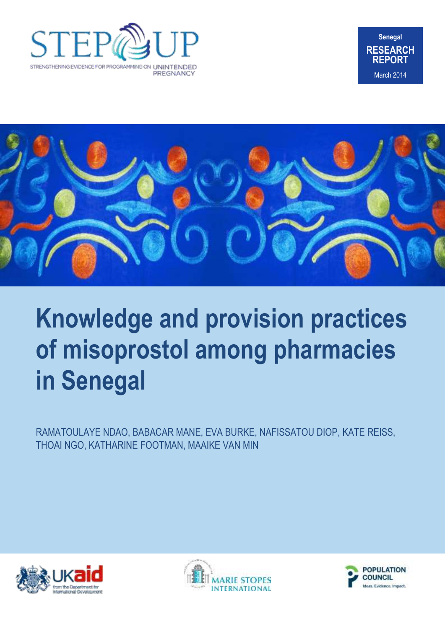





# **Knowledge and provision practices of misoprostol among pharmacies in Senegal**

RAMATOULAYE NDAO, BABACAR MANE, EVA BURKE, NAFISSATOU DIOP, KATE REISS, THOAI NGO, KATHARINE FOOTMAN, MAAIKE VAN MIN





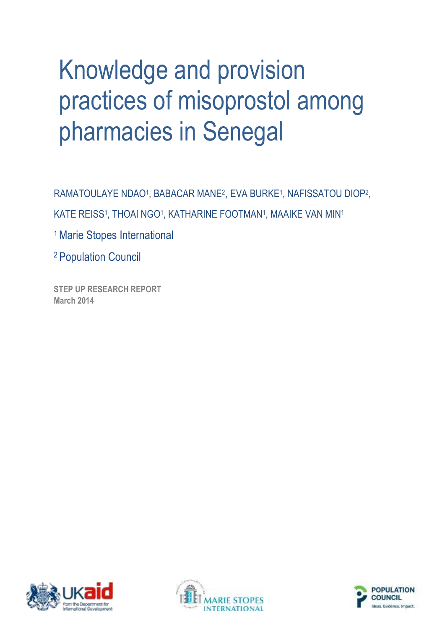# Knowledge and provision practices of misoprostol among pharmacies in Senegal

RAMATOULAYE NDAO<sup>1</sup>, BABACAR MANE<sup>2</sup>, EVA BURKE<sup>1</sup>, NAFISSATOU DIOP<sup>2</sup>,

KATE REISS<sup>1</sup>, THOAI NGO<sup>1</sup>, KATHARINE FOOTMAN<sup>1</sup>, MAAIKE VAN MIN<sup>1</sup>

<sup>1</sup> Marie Stopes International

<sup>2</sup>Population Council

**STEP UP RESEARCH REPORT March 2014**





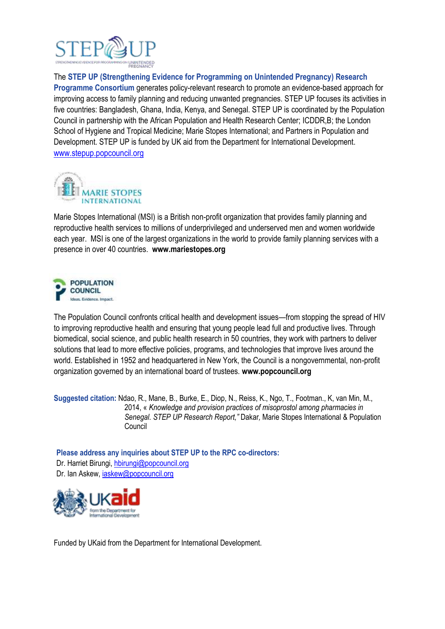

The **STEP UP (Strengthening Evidence for Programming on Unintended Pregnancy) Research Programme Consortium** generates policy-relevant research to promote an evidence-based approach for improving access to family planning and reducing unwanted pregnancies. STEP UP focuses its activities in five countries: Bangladesh, Ghana, India, Kenya, and Senegal. STEP UP is coordinated by the Population Council in partnership with the African Population and Health Research Center; ICDDR,B; the London School of Hygiene and Tropical Medicine; Marie Stopes International; and Partners in Population and Development. STEP UP is funded by UK aid from the Department for International Development. [www.stepup.popcouncil.org](http://www.stepup.popcouncil.org/)



Marie Stopes International (MSI) is a British non-profit organization that provides family planning and reproductive health services to millions of underprivileged and underserved men and women worldwide each year. MSI is one of the largest organizations in the world to provide family planning services with a presence in over 40 countries. **[www.mariestopes.org](http://www.mariestopes.org/)**



The Population Council confronts critical health and development issues—from stopping the spread of HIV to improving reproductive health and ensuring that young people lead full and productive lives. Through biomedical, social science, and public health research in 50 countries, they work with partners to deliver solutions that lead to more effective policies, programs, and technologies that improve lives around the world. Established in 1952 and headquartered in New York, the Council is a nongovernmental, non-profit organization governed by an international board of trustees. **www.popcouncil.org**

**Suggested citation:** Ndao, R., Mane, B., Burke, E., Diop, N., Reiss, K., Ngo, T., Footman., K, van Min, M., 2014, « *Knowledge and provision practices of misoprostol among pharmacies in Senegal. STEP UP Research Report,"* Dakar*,* Marie Stopes International & Population Council

**Please address any inquiries about STEP UP to the RPC co-directors:**  Dr. Harriet Birungi, [hbirungi@popcouncil.org](mailto:hbirungi@popcouncil.org) Dr. Ian Askew, [iaskew@popcouncil.org](mailto:iaskew@popcouncil.org)



Funded by UKaid from the Department for International Development.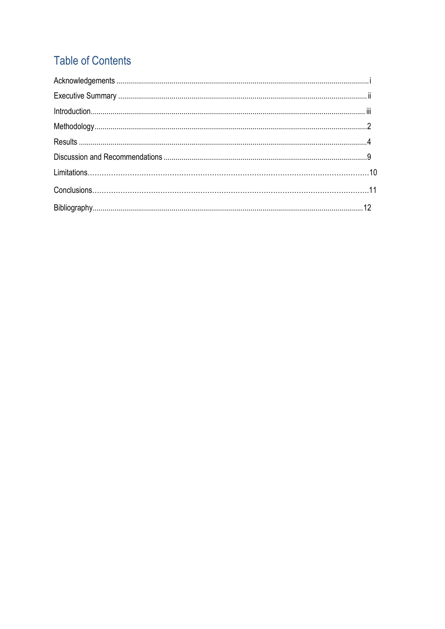## **Table of Contents**

<span id="page-3-0"></span>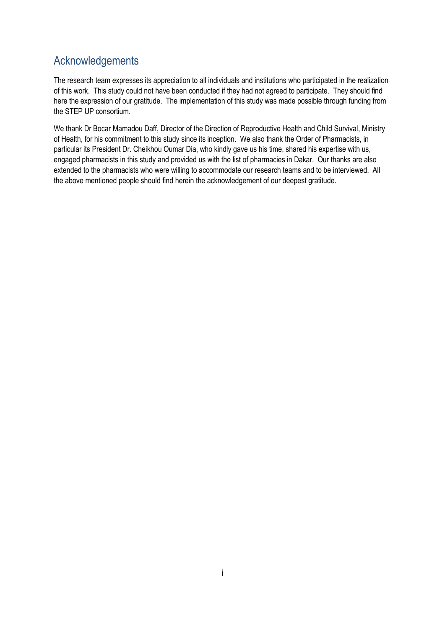## Acknowledgements

The research team expresses its appreciation to all individuals and institutions who participated in the realization of this work. This study could not have been conducted if they had not agreed to participate. They should find here the expression of our gratitude. The implementation of this study was made possible through funding from the STEP UP consortium.

We thank Dr Bocar Mamadou Daff, Director of the Direction of Reproductive Health and Child Survival, Ministry of Health, for his commitment to this study since its inception. We also thank the Order of Pharmacists, in particular its President Dr. Cheikhou Oumar Dia, who kindly gave us his time, shared his expertise with us, engaged pharmacists in this study and provided us with the list of pharmacies in Dakar. Our thanks are also extended to the pharmacists who were willing to accommodate our research teams and to be interviewed. All the above mentioned people should find herein the acknowledgement of our deepest gratitude.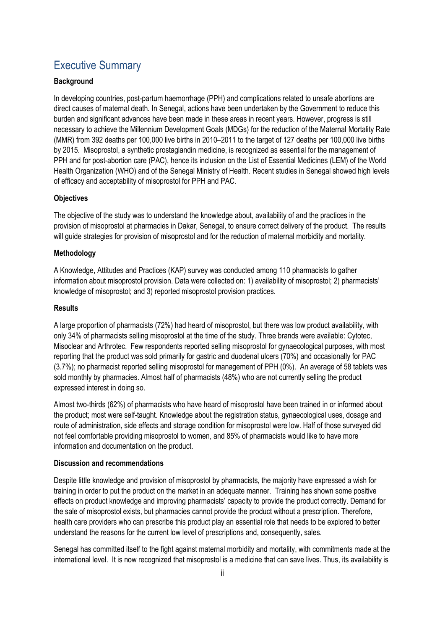## Executive Summary

#### **Background**

In developing countries, post-partum haemorrhage (PPH) and complications related to unsafe abortions are direct causes of maternal death. In Senegal, actions have been undertaken by the Government to reduce this burden and significant advances have been made in these areas in recent years. However, progress is still necessary to achieve the Millennium Development Goals (MDGs) for the reduction of the Maternal Mortality Rate (MMR) from 392 deaths per 100,000 live births in 2010–2011 to the target of 127 deaths per 100,000 live births by 2015. Misoprostol, a synthetic prostaglandin medicine, is recognized as essential for the management of PPH and for post-abortion care (PAC), hence its inclusion on the List of Essential Medicines (LEM) of the World Health Organization (WHO) and of the Senegal Ministry of Health. Recent studies in Senegal showed high levels of efficacy and acceptability of misoprostol for PPH and PAC.

#### **Objectives**

The objective of the study was to understand the knowledge about, availability of and the practices in the provision of misoprostol at pharmacies in Dakar, Senegal, to ensure correct delivery of the product. The results will guide strategies for provision of misoprostol and for the reduction of maternal morbidity and mortality.

#### **Methodology**

A Knowledge, Attitudes and Practices (KAP) survey was conducted among 110 pharmacists to gather information about misoprostol provision. Data were collected on: 1) availability of misoprostol; 2) pharmacists' knowledge of misoprostol; and 3) reported misoprostol provision practices.

#### **Results**

A large proportion of pharmacists (72%) had heard of misoprostol, but there was low product availability, with only 34% of pharmacists selling misoprostol at the time of the study. Three brands were available: Cytotec, Misoclear and Arthrotec. Few respondents reported selling misoprostol for gynaecological purposes, with most reporting that the product was sold primarily for gastric and duodenal ulcers (70%) and occasionally for PAC (3.7%); no pharmacist reported selling misoprostol for management of PPH (0%). An average of 58 tablets was sold monthly by pharmacies. Almost half of pharmacists (48%) who are not currently selling the product expressed interest in doing so.

Almost two-thirds (62%) of pharmacists who have heard of misoprostol have been trained in or informed about the product; most were self-taught. Knowledge about the registration status, gynaecological uses, dosage and route of administration, side effects and storage condition for misoprostol were low. Half of those surveyed did not feel comfortable providing misoprostol to women, and 85% of pharmacists would like to have more information and documentation on the product.

#### **Discussion and recommendations**

Despite little knowledge and provision of misoprostol by pharmacists, the majority have expressed a wish for training in order to put the product on the market in an adequate manner. Training has shown some positive effects on product knowledge and improving pharmacists' capacity to provide the product correctly. Demand for the sale of misoprostol exists, but pharmacies cannot provide the product without a prescription. Therefore, health care providers who can prescribe this product play an essential role that needs to be explored to better understand the reasons for the current low level of prescriptions and, consequently, sales.

Senegal has committed itself to the fight against maternal morbidity and mortality, with commitments made at the international level. It is now recognized that misoprostol is a medicine that can save lives. Thus, its availability is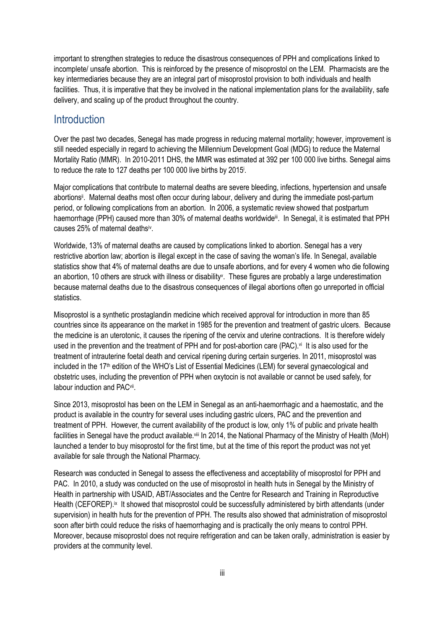important to strengthen strategies to reduce the disastrous consequences of PPH and complications linked to incomplete/ unsafe abortion. This is reinforced by the presence of misoprostol on the LEM. Pharmacists are the key intermediaries because they are an integral part of misoprostol provision to both individuals and health facilities. Thus, it is imperative that they be involved in the national implementation plans for the availability, safe delivery, and scaling up of the product throughout the country.

#### **Introduction**

Over the past two decades, Senegal has made progress in reducing maternal mortality; however, improvement is still needed especially in regard to achieving the Millennium Development Goal (MDG) to reduce the Maternal Mortality Ratio (MMR). In 2010-2011 DHS, the MMR was estimated at 392 per 100 000 live births. Senegal aims to reduce the rate to 127 deaths per 100 000 live births by 2015<sup>i</sup> .

Major complications that contribute to maternal deaths are severe bleeding, infections, hypertension and unsafe abortions<sup>ii</sup>. Maternal deaths most often occur during labour, delivery and during the immediate post-partum period, or following complications from an abortion. In 2006, a systematic review showed that postpartum haemorrhage (PPH) caused more than 30% of maternal deaths worldwide<sup>ii</sup>. In Senegal, it is estimated that PPH causes 25% of maternal deathsiv.

Worldwide, 13% of maternal deaths are caused by complications linked to abortion. Senegal has a very restrictive abortion law; abortion is illegal except in the case of saving the woman's life. In Senegal, available statistics show that 4% of maternal deaths are due to unsafe abortions, and for every 4 women who die following an abortion, 10 others are struck with illness or disability<sup>v</sup>. These figures are probably a large underestimation because maternal deaths due to the disastrous consequences of illegal abortions often go unreported in official statistics.

Misoprostol is a synthetic prostaglandin medicine which received approval for introduction in more than 85 countries since its appearance on the market in 1985 for the prevention and treatment of gastric ulcers. Because the medicine is an uterotonic, it causes the ripening of the cervix and uterine contractions. It is therefore widely used in the prevention and the treatment of PPH and for post-abortion care (PAC).<sup>vi</sup> It is also used for the treatment of intrauterine foetal death and cervical ripening during certain surgeries. In 2011, misoprostol was included in the 17th edition of the WHO's List of Essential Medicines (LEM) for several gynaecological and obstetric uses, including the prevention of PPH when oxytocin is not available or cannot be used safely, for labour induction and PAC<sup>vii</sup>.

Since 2013, misoprostol has been on the LEM in Senegal as an anti-haemorrhagic and a haemostatic, and the product is available in the country for several uses including gastric ulcers, PAC and the prevention and treatment of PPH. However, the current availability of the product is low, only 1% of public and private health facilities in Senegal have the product available.<sup>viii</sup> In 2014, the National Pharmacy of the Ministry of Health (MoH) launched a tender to buy misoprostol for the first time, but at the time of this report the product was not yet available for sale through the National Pharmacy.

Research was conducted in Senegal to assess the effectiveness and acceptability of misoprostol for PPH and PAC. In 2010, a study was conducted on the use of misoprostol in health huts in Senegal by the Ministry of Health in partnership with USAID, ABT/Associates and the Centre for Research and Training in Reproductive Health (CEFOREP).<sup>ix</sup> It showed that misoprostol could be successfully administered by birth attendants (under supervision) in health huts for the prevention of PPH. The results also showed that administration of misoprostol soon after birth could reduce the risks of haemorrhaging and is practically the only means to control PPH. Moreover, because misoprostol does not require refrigeration and can be taken orally, administration is easier by providers at the community level.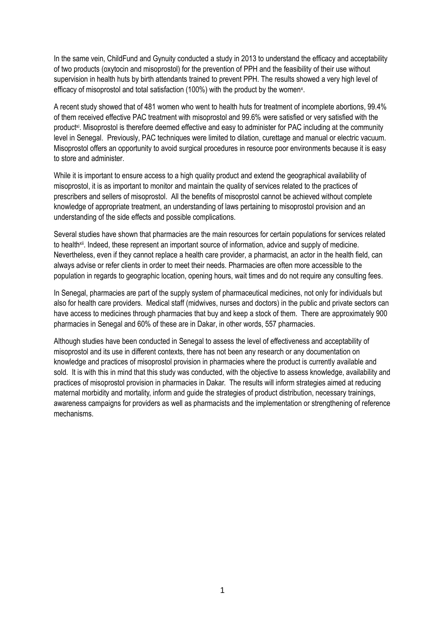In the same vein, ChildFund and Gynuity conducted a study in 2013 to understand the efficacy and acceptability of two products (oxytocin and misoprostol) for the prevention of PPH and the feasibility of their use without supervision in health huts by birth attendants trained to prevent PPH. The results showed a very high level of efficacy of misoprostol and total satisfaction (100%) with the product by the women<sup>x</sup>.

A recent study showed that of 481 women who went to health huts for treatment of incomplete abortions, 99.4% of them received effective PAC treatment with misoprostol and 99.6% were satisfied or very satisfied with the product<sup>xi</sup>. Misoprostol is therefore deemed effective and easy to administer for PAC including at the community level in Senegal. Previously, PAC techniques were limited to dilation, curettage and manual or electric vacuum. Misoprostol offers an opportunity to avoid surgical procedures in resource poor environments because it is easy to store and administer.

While it is important to ensure access to a high quality product and extend the geographical availability of misoprostol, it is as important to monitor and maintain the quality of services related to the practices of prescribers and sellers of misoprostol. All the benefits of misoprostol cannot be achieved without complete knowledge of appropriate treatment, an understanding of laws pertaining to misoprostol provision and an understanding of the side effects and possible complications.

Several studies have shown that pharmacies are the main resources for certain populations for services related to health<sup>xii</sup>. Indeed, these represent an important source of information, advice and supply of medicine. Nevertheless, even if they cannot replace a health care provider, a pharmacist, an actor in the health field, can always advise or refer clients in order to meet their needs. Pharmacies are often more accessible to the population in regards to geographic location, opening hours, wait times and do not require any consulting fees.

In Senegal, pharmacies are part of the supply system of pharmaceutical medicines, not only for individuals but also for health care providers. Medical staff (midwives, nurses and doctors) in the public and private sectors can have access to medicines through pharmacies that buy and keep a stock of them. There are approximately 900 pharmacies in Senegal and 60% of these are in Dakar, in other words, 557 pharmacies.

Although studies have been conducted in Senegal to assess the level of effectiveness and acceptability of misoprostol and its use in different contexts, there has not been any research or any documentation on knowledge and practices of misoprostol provision in pharmacies where the product is currently available and sold. It is with this in mind that this study was conducted, with the objective to assess knowledge, availability and practices of misoprostol provision in pharmacies in Dakar. The results will inform strategies aimed at reducing maternal morbidity and mortality, inform and guide the strategies of product distribution, necessary trainings, awareness campaigns for providers as well as pharmacists and the implementation or strengthening of reference mechanisms.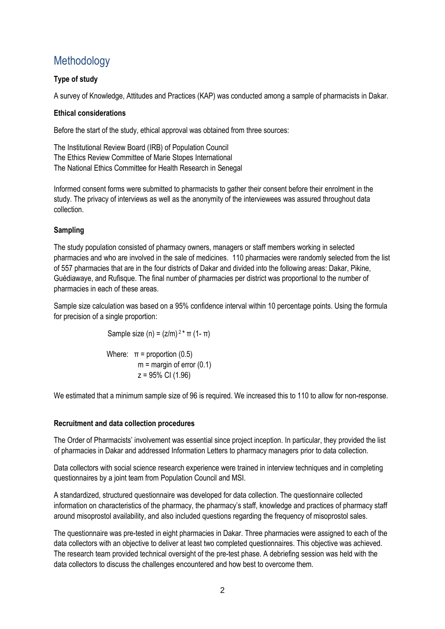## **Methodology**

#### **Type of study**

A survey of Knowledge, Attitudes and Practices (KAP) was conducted among a sample of pharmacists in Dakar.

#### **Ethical considerations**

Before the start of the study, ethical approval was obtained from three sources:

The Institutional Review Board (IRB) of Population Council The Ethics Review Committee of Marie Stopes International The National Ethics Committee for Health Research in Senegal

Informed consent forms were submitted to pharmacists to gather their consent before their enrolment in the study. The privacy of interviews as well as the anonymity of the interviewees was assured throughout data collection.

#### **Sampling**

The study population consisted of pharmacy owners, managers or staff members working in selected pharmacies and who are involved in the sale of medicines. 110 pharmacies were randomly selected from the list of 557 pharmacies that are in the four districts of Dakar and divided into the following areas: Dakar, Pikine, Guédiawaye, and Rufisque. The final number of pharmacies per district was proportional to the number of pharmacies in each of these areas.

Sample size calculation was based on a 95% confidence interval within 10 percentage points. Using the formula for precision of a single proportion:

Sample size (n) =  $(z/m)^{2*}$  π (1- π)

Where:  $\pi$  = proportion (0.5)  $m =$  margin of error (0.1) z = 95% CI (1.96)

We estimated that a minimum sample size of 96 is required. We increased this to 110 to allow for non-response.

#### **Recruitment and data collection procedures**

The Order of Pharmacists' involvement was essential since project inception. In particular, they provided the list of pharmacies in Dakar and addressed Information Letters to pharmacy managers prior to data collection.

Data collectors with social science research experience were trained in interview techniques and in completing questionnaires by a joint team from Population Council and MSI.

A standardized, structured questionnaire was developed for data collection. The questionnaire collected information on characteristics of the pharmacy, the pharmacy's staff, knowledge and practices of pharmacy staff around misoprostol availability, and also included questions regarding the frequency of misoprostol sales.

The questionnaire was pre-tested in eight pharmacies in Dakar. Three pharmacies were assigned to each of the data collectors with an objective to deliver at least two completed questionnaires. This objective was achieved. The research team provided technical oversight of the pre-test phase. A debriefing session was held with the data collectors to discuss the challenges encountered and how best to overcome them.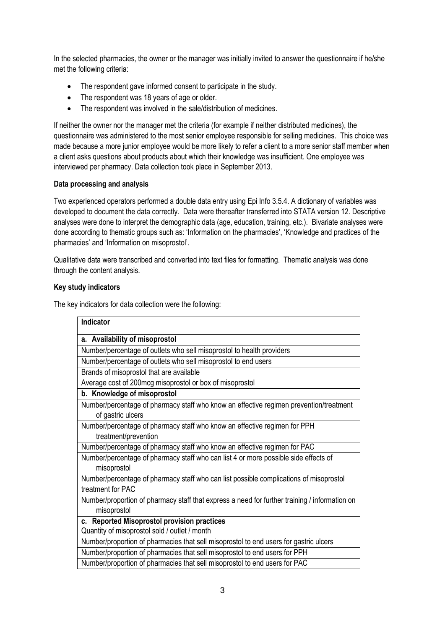In the selected pharmacies, the owner or the manager was initially invited to answer the questionnaire if he/she met the following criteria:

- The respondent gave informed consent to participate in the study.
- The respondent was 18 years of age or older.
- The respondent was involved in the sale/distribution of medicines.

If neither the owner nor the manager met the criteria (for example if neither distributed medicines), the questionnaire was administered to the most senior employee responsible for selling medicines. This choice was made because a more junior employee would be more likely to refer a client to a more senior staff member when a client asks questions about products about which their knowledge was insufficient. One employee was interviewed per pharmacy. Data collection took place in September 2013.

#### **Data processing and analysis**

Two experienced operators performed a double data entry using Epi Info 3.5.4. A dictionary of variables was developed to document the data correctly. Data were thereafter transferred into STATA version 12. Descriptive analyses were done to interpret the demographic data (age, education, training, etc.). Bivariate analyses were done according to thematic groups such as: 'Information on the pharmacies', 'Knowledge and practices of the pharmacies' and 'Information on misoprostol'.

Qualitative data were transcribed and converted into text files for formatting. Thematic analysis was done through the content analysis.

#### **Key study indicators**

The key indicators for data collection were the following:

| Indicator                                                                                                    |
|--------------------------------------------------------------------------------------------------------------|
| a. Availability of misoprostol                                                                               |
| Number/percentage of outlets who sell misoprostol to health providers                                        |
| Number/percentage of outlets who sell misoprostol to end users                                               |
| Brands of misoprostol that are available                                                                     |
| Average cost of 200mcg misoprostol or box of misoprostol                                                     |
| b. Knowledge of misoprostol                                                                                  |
| Number/percentage of pharmacy staff who know an effective regimen prevention/treatment<br>of gastric ulcers  |
| Number/percentage of pharmacy staff who know an effective regimen for PPH<br>treatment/prevention            |
| Number/percentage of pharmacy staff who know an effective regimen for PAC                                    |
| Number/percentage of pharmacy staff who can list 4 or more possible side effects of<br>misoprostol           |
| Number/percentage of pharmacy staff who can list possible complications of misoprostol<br>treatment for PAC  |
| Number/proportion of pharmacy staff that express a need for further training / information on<br>misoprostol |
| c. Reported Misoprostol provision practices                                                                  |
| Quantity of misoprostol sold / outlet / month                                                                |
| Number/proportion of pharmacies that sell misoprostol to end users for gastric ulcers                        |
| Number/proportion of pharmacies that sell misoprostol to end users for PPH                                   |
| Number/proportion of pharmacies that sell misoprostol to end users for PAC                                   |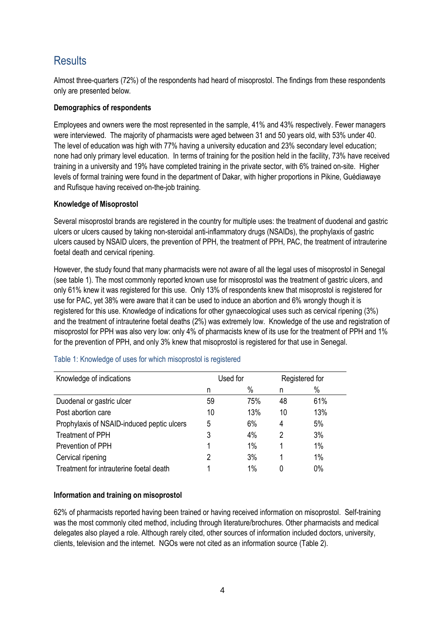## **Results**

Almost three-quarters (72%) of the respondents had heard of misoprostol. The findings from these respondents only are presented below.

#### **Demographics of respondents**

Employees and owners were the most represented in the sample, 41% and 43% respectively. Fewer managers were interviewed. The majority of pharmacists were aged between 31 and 50 years old, with 53% under 40. The level of education was high with 77% having a university education and 23% secondary level education; none had only primary level education. In terms of training for the position held in the facility, 73% have received training in a university and 19% have completed training in the private sector, with 6% trained on-site. Higher levels of formal training were found in the department of Dakar, with higher proportions in Pikine, Guédiawaye and Rufisque having received on-the-job training.

#### **Knowledge of Misoprostol**

Several misoprostol brands are registered in the country for multiple uses: the treatment of duodenal and gastric ulcers or ulcers caused by taking non-steroidal anti-inflammatory drugs (NSAIDs), the prophylaxis of gastric ulcers caused by NSAID ulcers, the prevention of PPH, the treatment of PPH, PAC, the treatment of intrauterine foetal death and cervical ripening.

However, the study found that many pharmacists were not aware of all the legal uses of misoprostol in Senegal (see table 1). The most commonly reported known use for misoprostol was the treatment of gastric ulcers, and only 61% knew it was registered for this use. Only 13% of respondents knew that misoprostol is registered for use for PAC, yet 38% were aware that it can be used to induce an abortion and 6% wrongly though it is registered for this use. Knowledge of indications for other gynaecological uses such as cervical ripening (3%) and the treatment of intrauterine foetal deaths (2%) was extremely low. Knowledge of the use and registration of misoprostol for PPH was also very low: only 4% of pharmacists knew of its use for the treatment of PPH and 1% for the prevention of PPH, and only 3% knew that misoprostol is registered for that use in Senegal.

| Knowledge of indications                   | Used for |      |    | Registered for |
|--------------------------------------------|----------|------|----|----------------|
|                                            | n        | $\%$ | n  | $\%$           |
| Duodenal or gastric ulcer                  | 59       | 75%  | 48 | 61%            |
| Post abortion care                         | 10       | 13%  | 10 | 13%            |
| Prophylaxis of NSAID-induced peptic ulcers | 5        | 6%   | 4  | 5%             |
| <b>Treatment of PPH</b>                    | 3        | 4%   | 2  | 3%             |
| Prevention of PPH                          |          | 1%   |    | 1%             |
| Cervical ripening                          | 2        | 3%   |    | 1%             |
| Treatment for intrauterine foetal death    |          | 1%   |    | 0%             |

#### Table 1: Knowledge of uses for which misoprostol is registered

#### **Information and training on misoprostol**

62% of pharmacists reported having been trained or having received information on misoprostol. Self-training was the most commonly cited method, including through literature/brochures. Other pharmacists and medical delegates also played a role. Although rarely cited, other sources of information included doctors, university, clients, television and the internet. NGOs were not cited as an information source (Table 2).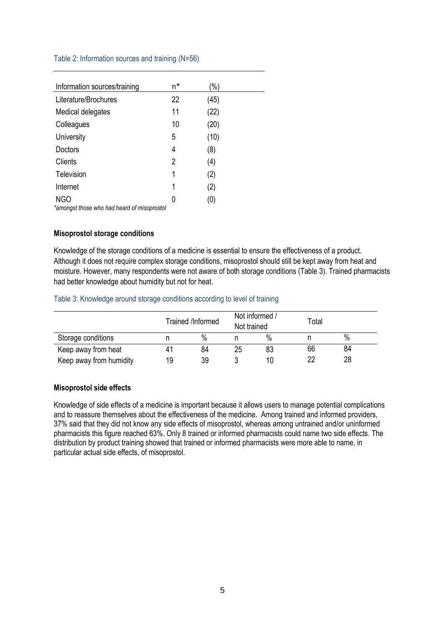#### Table 2: Information sources and training (N=56)

| Information sources/training                | n* | (%)  |  |
|---------------------------------------------|----|------|--|
| Literature/Brochures                        | 22 | (45) |  |
| Medical delegates                           | 11 | (22) |  |
| Colleagues                                  | 10 | (20) |  |
| University                                  | 5  | (10) |  |
| Doctors                                     | 4  | (8)  |  |
| Clients                                     | 2  | (4)  |  |
| Television                                  | 1  | (2)  |  |
| Internet                                    | 1  | (2)  |  |
| <b>NGO</b>                                  | 0  | (0)  |  |
| *amongst those who had heard of misoprostol |    |      |  |

#### **Misoprostol storage conditions**

Knowledge of the storage conditions of a medicine is essential to ensure the effectiveness of a product. Although it does not require complex storage conditions, misoprostol should still be kept away from heat and moisture. However, many respondents were not aware of both storage conditions (Table 3). Trained pharmacists had better knowledge about humidity but not for heat.

#### Table 3: Knowledge around storage conditions according to level of training

|                         |    | Trained /Informed | Not informed /<br>Not trained |      | Total |      |
|-------------------------|----|-------------------|-------------------------------|------|-------|------|
| Storage conditions      |    | $\%$              |                               | $\%$ |       | $\%$ |
| Keep away from heat     |    | 84                | 25                            | 83   | 66    | 84   |
| Keep away from humidity | 19 | 39                |                               | 10   | າາ    | 28   |

#### **Misoprostol side effects**

Knowledge of side effects of a medicine is important because it allows users to manage potential complications and to reassure themselves about the effectiveness of the medicine. Among trained and informed providers, 37% said that they did not know any side effects of misoprostol, whereas among untrained and/or uninformed pharmacists this figure reached 63%. Only 8 trained or informed pharmacists could name two side effects. The distribution by product training showed that trained or informed pharmacists were more able to name, in particular actual side effects, of misoprostol.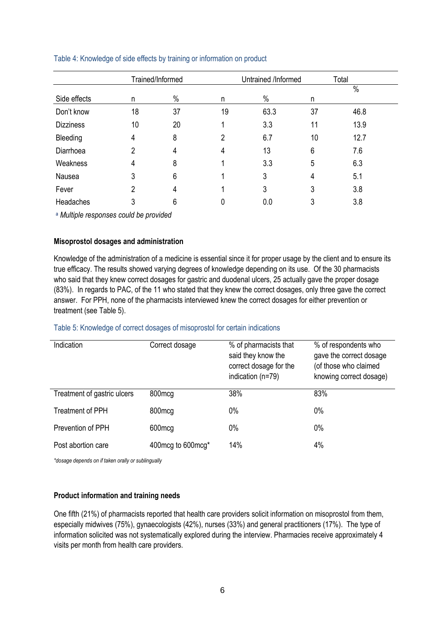|                  | Trained/Informed<br>Untrained /Informed |          |    |      | Total |      |  |
|------------------|-----------------------------------------|----------|----|------|-------|------|--|
|                  |                                         |          |    |      |       | $\%$ |  |
| Side effects     | n                                       | $\%$     | n  | $\%$ | n     |      |  |
| Don't know       | 18                                      | 37       | 19 | 63.3 | 37    | 46.8 |  |
| <b>Dizziness</b> | 10                                      | 20       |    | 3.3  | 11    | 13.9 |  |
| Bleeding         | 4                                       | 8        | 2  | 6.7  | 10    | 12.7 |  |
| Diarrhoea        | 2                                       | 4        | 4  | 13   | 6     | 7.6  |  |
| Weakness         | 4                                       | 8        |    | 3.3  | 5     | 6.3  |  |
| Nausea           | 3                                       | 6        |    | 3    | 4     | 5.1  |  |
| Fever            | 2                                       | 4        |    | 3    | 3     | 3.8  |  |
| Headaches        | 3                                       | 6        | 0  | 0.0  | 3     | 3.8  |  |
| $-111111$        | $\mathbf{r}$                            | $\cdots$ |    |      |       |      |  |

#### Table 4: Knowledge of side effects by training or information on product

<sup>a</sup> *Multiple responses could be provided*

#### **Misoprostol dosages and administration**

Knowledge of the administration of a medicine is essential since it for proper usage by the client and to ensure its true efficacy. The results showed varying degrees of knowledge depending on its use. Of the 30 pharmacists who said that they knew correct dosages for gastric and duodenal ulcers, 25 actually gave the proper dosage (83%). In regards to PAC, of the 11 who stated that they knew the correct dosages, only three gave the correct answer. For PPH, none of the pharmacists interviewed knew the correct dosages for either prevention or treatment (see Table 5).

#### Table 5: Knowledge of correct dosages of misoprostol for certain indications

| Indication                  | Correct dosage      | % of pharmacists that<br>said they know the<br>correct dosage for the<br>indication (n=79) | % of respondents who<br>gave the correct dosage<br>(of those who claimed<br>knowing correct dosage) |
|-----------------------------|---------------------|--------------------------------------------------------------------------------------------|-----------------------------------------------------------------------------------------------------|
| Treatment of gastric ulcers | 800mcg              | 38%                                                                                        | 83%                                                                                                 |
| <b>Treatment of PPH</b>     | 800 <sub>mcg</sub>  | 0%                                                                                         | 0%                                                                                                  |
| Prevention of PPH           | 600mcg              | 0%                                                                                         | 0%                                                                                                  |
| Post abortion care          | 400 mcg to 600 mcg* | 14%                                                                                        | 4%                                                                                                  |

*\*dosage depends on if taken orally or sublingually* 

#### **Product information and training needs**

One fifth (21%) of pharmacists reported that health care providers solicit information on misoprostol from them, especially midwives (75%), gynaecologists (42%), nurses (33%) and general practitioners (17%). The type of information solicited was not systematically explored during the interview. Pharmacies receive approximately 4 visits per month from health care providers.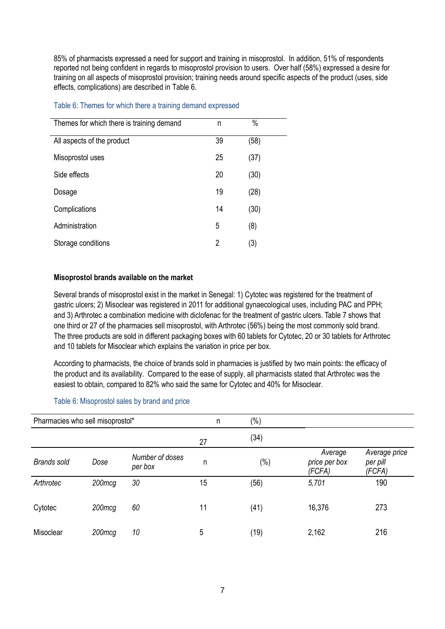85% of pharmacists expressed a need for support and training in misoprostol. In addition, 51% of respondents reported not being confident in regards to misoprostol provision to users. Over half (58%) expressed a desire for training on all aspects of misoprostol provision; training needs around specific aspects of the product (uses, side effects, complications) are described in Table 6.

#### Table 6: Themes for which there a training demand expressed

| Themes for which there is training demand | n  | %    |
|-------------------------------------------|----|------|
| All aspects of the product                | 39 | (58) |
| Misoprostol uses                          | 25 | (37) |
| Side effects                              | 20 | (30) |
| Dosage                                    | 19 | (28) |
| Complications                             | 14 | (30) |
| Administration                            | 5  | (8)  |
| Storage conditions                        | 2  | (3)  |

#### **Misoprostol brands available on the market**

Several brands of misoprostol exist in the market in Senegal: 1) Cytotec was registered for the treatment of gastric ulcers; 2) Misoclear was registered in 2011 for additional gynaecological uses, including PAC and PPH; and 3) Arthrotec a combination medicine with diclofenac for the treatment of gastric ulcers. Table 7 shows that one third or 27 of the pharmacies sell misoprostol, with Arthrotec (56%) being the most commonly sold brand. The three products are sold in different packaging boxes with 60 tablets for Cytotec, 20 or 30 tablets for Arthrotec and 10 tablets for Misoclear which explains the variation in price per box.

According to pharmacists, the choice of brands sold in pharmacies is justified by two main points: the efficacy of the product and its availability. Compared to the ease of supply, all pharmacists stated that Arthrotec was the easiest to obtain, compared to 82% who said the same for Cytotec and 40% for Misoclear.

| Pharmacies who sell misoprostol* |        | n                          | $(\%)$ |        |                                    |                                     |
|----------------------------------|--------|----------------------------|--------|--------|------------------------------------|-------------------------------------|
|                                  |        |                            | 27     | (34)   |                                    |                                     |
| <b>Brands sold</b>               | Dose   | Number of doses<br>per box | n      | $(\%)$ | Average<br>price per box<br>(FCFA) | Average price<br>per pill<br>(FCFA) |
| Arthrotec                        | 200mcg | 30                         | 15     | (56)   | 5,701                              | 190                                 |
| Cytotec                          | 200mcg | 60                         | 11     | (41)   | 16,376                             | 273                                 |
| Misoclear                        | 200mcg | 10                         | 5      | (19)   | 2,162                              | 216                                 |

#### Table 6: Misoprostol sales by brand and price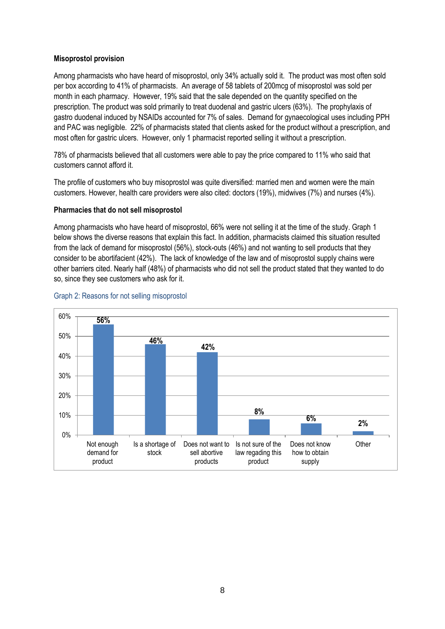#### **Misoprostol provision**

Among pharmacists who have heard of misoprostol, only 34% actually sold it. The product was most often sold per box according to 41% of pharmacists. An average of 58 tablets of 200mcg of misoprostol was sold per month in each pharmacy. However, 19% said that the sale depended on the quantity specified on the prescription. The product was sold primarily to treat duodenal and gastric ulcers (63%). The prophylaxis of gastro duodenal induced by NSAIDs accounted for 7% of sales. Demand for gynaecological uses including PPH and PAC was negligible. 22% of pharmacists stated that clients asked for the product without a prescription, and most often for gastric ulcers. However, only 1 pharmacist reported selling it without a prescription.

78% of pharmacists believed that all customers were able to pay the price compared to 11% who said that customers cannot afford it.

The profile of customers who buy misoprostol was quite diversified: married men and women were the main customers. However, health care providers were also cited: doctors (19%), midwives (7%) and nurses (4%).

#### **Pharmacies that do not sell misoprostol**

Among pharmacists who have heard of misoprostol, 66% were not selling it at the time of the study. Graph 1 below shows the diverse reasons that explain this fact. In addition, pharmacists claimed this situation resulted from the lack of demand for misoprostol (56%), stock-outs (46%) and not wanting to sell products that they consider to be abortifacient (42%). The lack of knowledge of the law and of misoprostol supply chains were other barriers cited. Nearly half (48%) of pharmacists who did not sell the product stated that they wanted to do so, since they see customers who ask for it.



#### Graph 2: Reasons for not selling misoprostol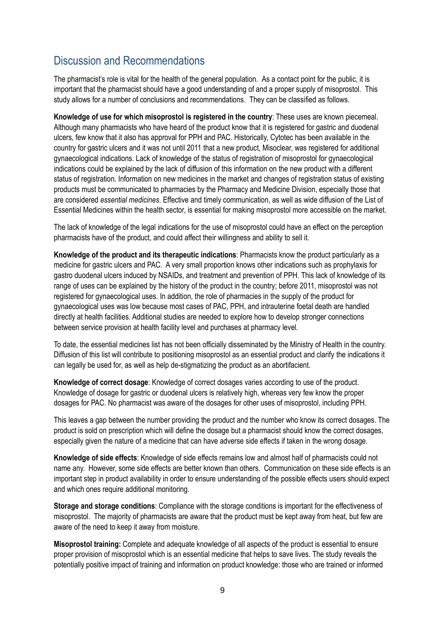## Discussion and Recommendations

The pharmacist's role is vital for the health of the general population. As a contact point for the public, it is important that the pharmacist should have a good understanding of and a proper supply of misoprostol. This study allows for a number of conclusions and recommendations. They can be classified as follows.

**Knowledge of use for which misoprostol is registered in the country**: These uses are known piecemeal. Although many pharmacists who have heard of the product know that it is registered for gastric and duodenal ulcers, few know that it also has approval for PPH and PAC. Historically, Cytotec has been available in the country for gastric ulcers and it was not until 2011 that a new product, Misoclear, was registered for additional gynaecological indications. Lack of knowledge of the status of registration of misoprostol for gynaecological indications could be explained by the lack of diffusion of this information on the new product with a different status of registration. Information on new medicines in the market and changes of registration status of existing products must be communicated to pharmacies by the Pharmacy and Medicine Division, especially those that are considered *essential medicines*. Effective and timely communication, as well as wide diffusion of the List of Essential Medicines within the health sector, is essential for making misoprostol more accessible on the market.

The lack of knowledge of the legal indications for the use of misoprostol could have an effect on the perception pharmacists have of the product, and could affect their willingness and ability to sell it.

**Knowledge of the product and its therapeutic indications**: Pharmacists know the product particularly as a medicine for gastric ulcers and PAC. A very small proportion knows other indications such as prophylaxis for gastro duodenal ulcers induced by NSAIDs, and treatment and prevention of PPH. This lack of knowledge of its range of uses can be explained by the history of the product in the country; before 2011, misoprostol was not registered for gynaecological uses. In addition, the role of pharmacies in the supply of the product for gynaecological uses was low because most cases of PAC, PPH, and intrauterine foetal death are handled directly at health facilities. Additional studies are needed to explore how to develop stronger connections between service provision at health facility level and purchases at pharmacy level.

To date, the essential medicines list has not been officially disseminated by the Ministry of Health in the country. Diffusion of this list will contribute to positioning misoprostol as an essential product and clarify the indications it can legally be used for, as well as help de-stigmatizing the product as an abortifacient.

**Knowledge of correct dosage**: Knowledge of correct dosages varies according to use of the product. Knowledge of dosage for gastric or duodenal ulcers is relatively high, whereas very few know the proper dosages for PAC. No pharmacist was aware of the dosages for other uses of misoprostol, including PPH.

This leaves a gap between the number providing the product and the number who know its correct dosages. The product is sold on prescription which will define the dosage but a pharmacist should know the correct dosages, especially given the nature of a medicine that can have adverse side effects if taken in the wrong dosage.

**Knowledge of side effects**: Knowledge of side effects remains low and almost half of pharmacists could not name any. However, some side effects are better known than others. Communication on these side effects is an important step in product availability in order to ensure understanding of the possible effects users should expect and which ones require additional monitoring.

**Storage and storage conditions**: Compliance with the storage conditions is important for the effectiveness of misoprostol. The majority of pharmacists are aware that the product must be kept away from heat, but few are aware of the need to keep it away from moisture.

**Misoprostol training:** Complete and adequate knowledge of all aspects of the product is essential to ensure proper provision of misoprostol which is an essential medicine that helps to save lives. The study reveals the potentially positive impact of training and information on product knowledge: those who are trained or informed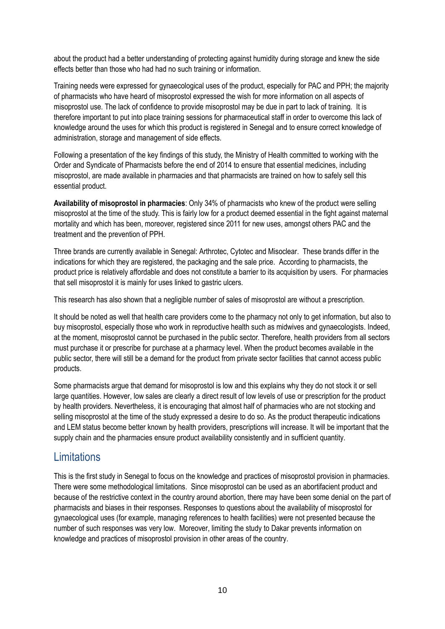about the product had a better understanding of protecting against humidity during storage and knew the side effects better than those who had had no such training or information.

Training needs were expressed for gynaecological uses of the product, especially for PAC and PPH; the majority of pharmacists who have heard of misoprostol expressed the wish for more information on all aspects of misoprostol use. The lack of confidence to provide misoprostol may be due in part to lack of training. It is therefore important to put into place training sessions for pharmaceutical staff in order to overcome this lack of knowledge around the uses for which this product is registered in Senegal and to ensure correct knowledge of administration, storage and management of side effects.

Following a presentation of the key findings of this study, the Ministry of Health committed to working with the Order and Syndicate of Pharmacists before the end of 2014 to ensure that essential medicines, including misoprostol, are made available in pharmacies and that pharmacists are trained on how to safely sell this essential product.

**Availability of misoprostol in pharmacies**: Only 34% of pharmacists who knew of the product were selling misoprostol at the time of the study. This is fairly low for a product deemed essential in the fight against maternal mortality and which has been, moreover, registered since 2011 for new uses, amongst others PAC and the treatment and the prevention of PPH.

Three brands are currently available in Senegal: Arthrotec, Cytotec and Misoclear. These brands differ in the indications for which they are registered, the packaging and the sale price. According to pharmacists, the product price is relatively affordable and does not constitute a barrier to its acquisition by users. For pharmacies that sell misoprostol it is mainly for uses linked to gastric ulcers.

This research has also shown that a negligible number of sales of misoprostol are without a prescription.

It should be noted as well that health care providers come to the pharmacy not only to get information, but also to buy misoprostol, especially those who work in reproductive health such as midwives and gynaecologists. Indeed, at the moment, misoprostol cannot be purchased in the public sector. Therefore, health providers from all sectors must purchase it or prescribe for purchase at a pharmacy level. When the product becomes available in the public sector, there will still be a demand for the product from private sector facilities that cannot access public products.

Some pharmacists argue that demand for misoprostol is low and this explains why they do not stock it or sell large quantities. However, low sales are clearly a direct result of low levels of use or prescription for the product by health providers. Nevertheless, it is encouraging that almost half of pharmacies who are not stocking and selling misoprostol at the time of the study expressed a desire to do so. As the product therapeutic indications and LEM status become better known by health providers, prescriptions will increase. It will be important that the supply chain and the pharmacies ensure product availability consistently and in sufficient quantity.

### **Limitations**

This is the first study in Senegal to focus on the knowledge and practices of misoprostol provision in pharmacies. There were some methodological limitations. Since misoprostol can be used as an abortifacient product and because of the restrictive context in the country around abortion, there may have been some denial on the part of pharmacists and biases in their responses. Responses to questions about the availability of misoprostol for gynaecological uses (for example, managing references to health facilities) were not presented because the number of such responses was very low. Moreover, limiting the study to Dakar prevents information on knowledge and practices of misoprostol provision in other areas of the country.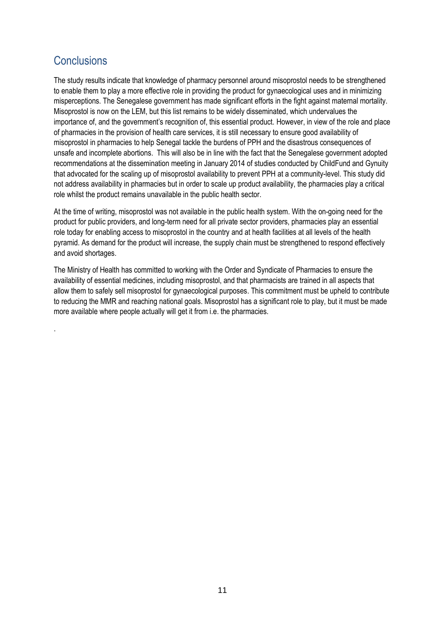## **Conclusions**

.

The study results indicate that knowledge of pharmacy personnel around misoprostol needs to be strengthened to enable them to play a more effective role in providing the product for gynaecological uses and in minimizing misperceptions. The Senegalese government has made significant efforts in the fight against maternal mortality. Misoprostol is now on the LEM, but this list remains to be widely disseminated, which undervalues the importance of, and the government's recognition of, this essential product. However, in view of the role and place of pharmacies in the provision of health care services, it is still necessary to ensure good availability of misoprostol in pharmacies to help Senegal tackle the burdens of PPH and the disastrous consequences of unsafe and incomplete abortions. This will also be in line with the fact that the Senegalese government adopted recommendations at the dissemination meeting in January 2014 of studies conducted by ChildFund and Gynuity that advocated for the scaling up of misoprostol availability to prevent PPH at a community-level. This study did not address availability in pharmacies but in order to scale up product availability, the pharmacies play a critical role whilst the product remains unavailable in the public health sector.

At the time of writing, misoprostol was not available in the public health system. With the on-going need for the product for public providers, and long-term need for all private sector providers, pharmacies play an essential role today for enabling access to misoprostol in the country and at health facilities at all levels of the health pyramid. As demand for the product will increase, the supply chain must be strengthened to respond effectively and avoid shortages.

The Ministry of Health has committed to working with the Order and Syndicate of Pharmacies to ensure the availability of essential medicines, including misoprostol, and that pharmacists are trained in all aspects that allow them to safely sell misoprostol for gynaecological purposes. This commitment must be upheld to contribute to reducing the MMR and reaching national goals. Misoprostol has a significant role to play, but it must be made more available where people actually will get it from i.e. the pharmacies.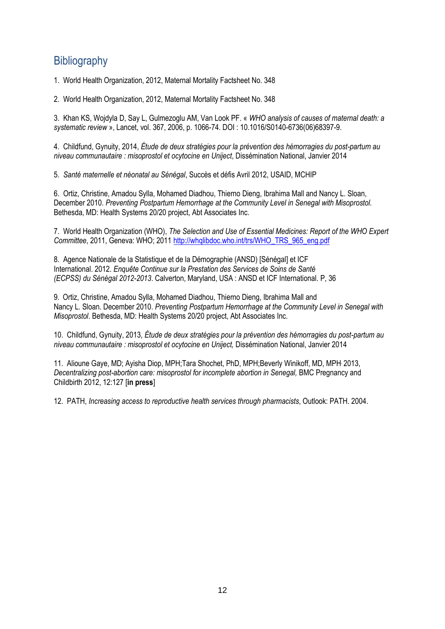## **Bibliography**

1. World Health Organization, 2012, Maternal Mortality Factsheet No. 348

2. World Health Organization, 2012, Maternal Mortality Factsheet No. 348

3. Khan KS, Wojdyla D, Say L, Gulmezoglu AM, Van Look PF. « *WHO analysis of causes of maternal death: a systematic review* », Lancet, vol. 367, 2006, p. 1066-74. DOI : 10.1016/S0140-6736(06)68397-9.

4. Childfund, Gynuity, 2014, *Étude de deux stratégies pour la prévention des hémorragies du post-partum au niveau communautaire : misoprostol et ocytocine en Uniject*, Dissémination National, Janvier 2014

5. *Santé maternelle et néonatal au Sénégal*, Succès et défis Avril 2012, USAID, MCHIP

6. Ortiz, Christine, Amadou Sylla, Mohamed Diadhou, Thierno Dieng, Ibrahima Mall and Nancy L. Sloan, December 2010. *Preventing Postpartum Hemorrhage at the Community Level in Senegal with Misoprostol.*  Bethesda, MD: Health Systems 20/20 project, Abt Associates Inc.

7. World Health Organization (WHO), *The Selection and Use of Essential Medicines: Report of the WHO Expert Committee*, 2011, Geneva: WHO; 2011 [http://whqlibdoc.who.int/trs/WHO\\_TRS\\_965\\_eng.pdf](http://whqlibdoc.who.int/trs/WHO_TRS_965_eng.pdf)

8. Agence Nationale de la Statistique et de la Démographie (ANSD) [Sénégal] et ICF International. 2012. *Enquête Continue sur la Prestation des Services de Soins de Santé (ECPSS) du Sénégal 2012-2013*. Calverton, Maryland, USA : ANSD et ICF International. P, 36

9. Ortiz, Christine, Amadou Sylla, Mohamed Diadhou, Thierno Dieng, Ibrahima Mall and Nancy L. Sloan. December 2010. *Preventing Postpartum Hemorrhage at the Community Level in Senegal with Misoprostol*. Bethesda, MD: Health Systems 20/20 project, Abt Associates Inc.

10. Childfund, Gynuity, 2013, *Étude de deux stratégies pour la prévention des hémorragies du post-partum au niveau communautaire : misoprostol et ocytocine en Uniject,* Dissémination National, Janvier 2014

11. Alioune Gaye, MD; Ayisha Diop, MPH;Tara Shochet, PhD, MPH;Beverly Winikoff, MD, MPH, 2013, *Decentralizing post-abortion care: misoprostol for incomplete abortion in Senegal,* BMC Pregnancy and Childbirth 2012, 12:127 [**in press**]

12. PATH, *Increasing access to reproductive health services through pharmacists*, Outlook: PATH. 2004.